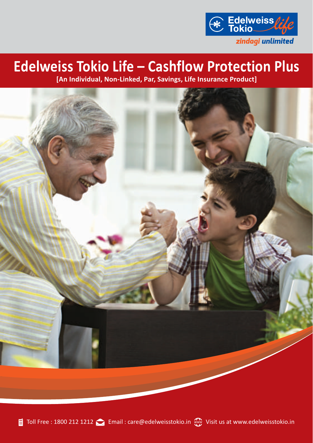

# **Edelweiss Tokio Life – Cashflow Protection Plus**

**[An Individual, Non-Linked, Par, Savings, Life Insurance Product]**

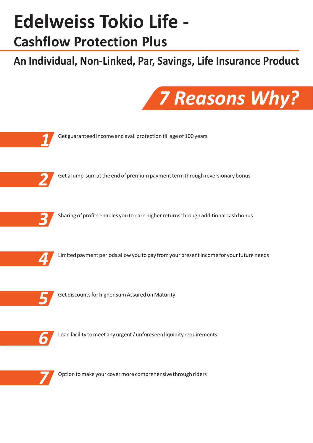# **Edelweiss Tokio Life -**

# **Cashflow Protection Plus**

# **An Individual, Non-Linked, Par, Savings, Life Insurance Product**



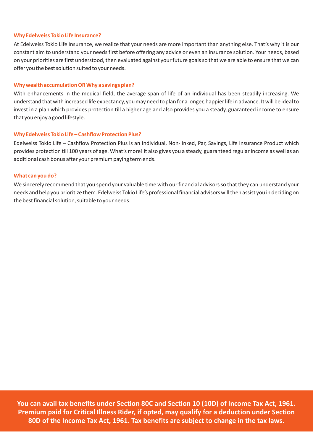#### **Why Edelweiss Tokio Life Insurance?**

At Edelweiss Tokio Life Insurance, we realize that your needs are more important than anything else. That's why it is our constant aim to understand your needs first before offering any advice or even an insurance solution. Your needs, based on your priorities are first understood, then evaluated against your future goals so that we are able to ensure that we can offer you the best solution suited to your needs.

#### **Why wealth accumulation OR Why a savings plan?**

With enhancements in the medical field, the average span of life of an individual has been steadily increasing. We understand that with increased life expectancy, you may need to plan for a longer, happier life in advance. It will be ideal to invest in a plan which provides protection till a higher age and also provides you a steady, guaranteed income to ensure that you enjoy a good lifestyle.

#### **Why Edelweiss Tokio Life – Cashflow Protection Plus?**

Edelweiss Tokio Life – Cashflow Protection Plus is an Individual, Non-linked, Par, Savings, Life Insurance Product which provides protection till 100 years of age. What's more! It also gives you a steady, guaranteed regular income as well as an additional cash bonus after your premium paying term ends.

#### **What can you do?**

We sincerely recommend that you spend your valuable time with our financial advisors so that they can understand your needs and help you prioritize them. Edelweiss Tokio Life's professional financial advisors will then assist you in deciding on the best financial solution, suitable to your needs.

**You can avail tax benefits under Section 80C and Section 10 (10D) of Income Tax Act, 1961. Premium paid for Critical Illness Rider, if opted, may qualify for a deduction under Section 80D of the Income Tax Act, 1961. Tax benefits are subject to change in the tax laws.**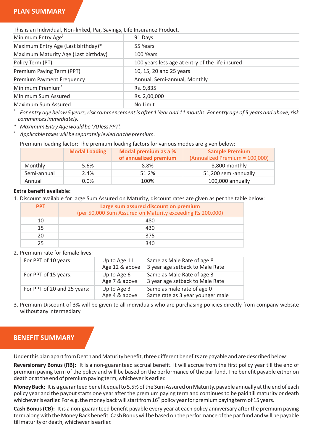## **PLAN SUMMARY**

This is an Individual, Non-linked, Par, Savings, Life Insurance Product.

| 91 Days                                         |  |  |
|-------------------------------------------------|--|--|
| 55 Years                                        |  |  |
| 100 Years                                       |  |  |
| 100 years less age at entry of the life insured |  |  |
| 10, 15, 20 and 25 years                         |  |  |
| Annual, Semi-annual, Monthly                    |  |  |
| Rs. 9,835                                       |  |  |
| Rs. 2,00,000                                    |  |  |
| No Limit                                        |  |  |
|                                                 |  |  |

*\$ For entry age below 5 years, risk commencement is after 1 Year and 11 months. For entry age of 5 years and above, risk commences immediately.*

\* *Maximum Entry Age would be '70 less PPT'.*

# *Applicable taxes will be separately levied on the premium.*

Premium loading factor: The premium loading factors for various modes are given below:

|             | <b>Modal Loading</b> | Modal premium as a %<br>of annualized premium | <b>Sample Premium</b><br>(Annualized Premium = 100,000) |
|-------------|----------------------|-----------------------------------------------|---------------------------------------------------------|
| Monthly     | 5.6%                 | 8.8%                                          | 8,800 monthly                                           |
| Semi-annual | 2.4%                 | 51.2%                                         | 51,200 semi-annually                                    |
| Annual      | $0.0\%$              | 100%                                          | 100,000 annually                                        |

#### **Extra benefit available:**

1. Discount available for large Sum Assured on Maturity, discount rates are given as per the table below:

| <b>PPT</b> | Large sum assured discount on premium<br>(per 50,000 Sum Assured on Maturity exceeding Rs 200,000) |
|------------|----------------------------------------------------------------------------------------------------|
| 10         | 480                                                                                                |
| 15         | 430                                                                                                |
| 20         | 375                                                                                                |
| つら         | 340                                                                                                |

#### 2. Premium rate for female lives:

| For PPT of 10 years:        | Up to Age 11                 | : Same as Male Rate of age 8<br>Age 12 & above : 3 year age setback to Male Rate |
|-----------------------------|------------------------------|----------------------------------------------------------------------------------|
| For PPT of 15 years:        | Up to Age 6<br>Age 7 & above | : Same as Male Rate of age 3<br>: 3 year age setback to Male Rate                |
| For PPT of 20 and 25 years: | Up to Age 3<br>Age 4 & above | : Same as male rate of age 0<br>: Same rate as 3 year younger male               |

3. Premium Discount of 3% will be given to all individuals who are purchasing policies directly from company website without any intermediary

# **BENEFIT SUMMARY**

Under this plan apart from Death and Maturity benefit, three different benefits are payable and are described below:

**Reversionary Bonus (RB):** It is a non-guaranteed accrual benefit. It will accrue from the first policy year till the end of premium paying term of the policy and will be based on the performance of the par fund. The benefit payable either on death or at the end of premium paying term, whichever is earlier.

**Money Back:** It is a guaranteed benefit equal to 5.5% of the Sum Assured on Maturity, payable annually at the end of each policy year and the payout starts one year after the premium paying term and continues to be paid till maturity or death whichever is earlier. For e.g. the money back will start from  $16<sup>th</sup>$  policy year for premium paying term of 15 years.

**Cash Bonus (CB):** It is a non-guaranteed benefit payable every year at each policy anniversary after the premium paying term along with the Money Back benefit. Cash Bonus will be based on the performance of the par fund and will be payable till maturity or death, whichever is earlier.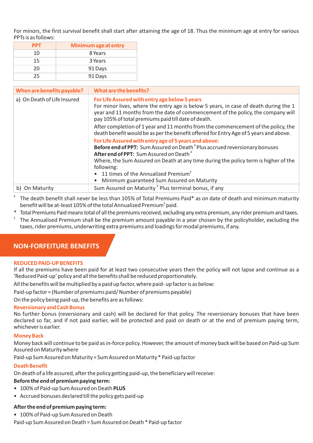For minors, the first survival benefit shall start after attaining the age of 18. Thus the minimum age at entry for various PPTs is as follows:

| <b>PPT</b> | Minimum age at entry |
|------------|----------------------|
| 10         | 8 Years              |
| 15         | 3 Years              |
| 20         | 91 Days              |
| 25         | 91 Days              |

| When are benefits payable?  | What are the benefits?                                                                                                                                                                                                                                                           |
|-----------------------------|----------------------------------------------------------------------------------------------------------------------------------------------------------------------------------------------------------------------------------------------------------------------------------|
| a) On Death of Life Insured | For Life Assured with entry age below 5 years<br>For minor lives, where the entry age is below 5 years, in case of death during the 1<br>year and 11 months from the date of commencement of the policy, the company will<br>pay 105% of total premiums paid till date of death. |
|                             | After completion of 1 year and 11 months from the commencement of the policy, the<br>death benefit would be as per the benefit offered for Entry Age of 5 years and above.                                                                                                       |
|                             | For Life Assured with entry age of 5 years and above:<br>Before end of PPT: Sum Assured on Death <sup>#</sup> Plus accrued reversionary bonuses<br>After end of PPT: Sum Assured on Death <sup>#</sup>                                                                           |
|                             | Where, the Sum Assured on Death at any time during the policy term is higher of the<br>following:                                                                                                                                                                                |
|                             | 11 times of the Annualized Premium <sup>s</sup><br>٠<br>Minimum guaranteed Sum Assured on Maturity<br>٠                                                                                                                                                                          |
| b) On Maturity              | Sum Assured on Maturity # Plus terminal bonus, if any                                                                                                                                                                                                                            |

 $^\ast$  The death benefit shall never be less than 105% of Total Premiums Paid $^*$  as on date of death and minimum maturity benefit will be at-least 105% of the total Annualized Premium<sup>s</sup> paid.

- \* Total Premiums Paid means total of all the premiums received, excluding any extra premium, any rider premium and taxes.
- \$ The Annualised Premium shall be the premium amount payable in a year chosen by the policyholder, excluding the taxes, rider premiums, underwriting extra premiums and loadings for modal premiums, if any.

# **NON-FORFEITURE BENEFITS**

#### **REDUCED PAID-UP BENEFITS**

If all the premiums have been paid for at least two consecutive years then the policy will not lapse and continue as a 'Reduced Paid-up' policy and all the benefits shall be reduced proportionately.

All the benefits will be multiplied by a paid up factor, where paid- up factor is as below:

Paid-up factor = (Number of premiums paid/ Number of premiums payable)

On the policy being paid-up, the benefits are as follows:

#### **Reversionary and Cash Bonus**

No further bonus (reversionary and cash) will be declared for that policy. The reversionary bonuses that have been declared so far, and if not paid earlier, will be protected and paid on death or at the end of premium paying term, whichever is earlier.

#### **Money Back**

Money back will continue to be paid as in-force policy. However, the amount of money back will be based on Paid-up Sum Assured on Maturity where

Paid-up Sum Assured on Maturity = Sum Assured on Maturity \* Paid-up factor

#### **Death Benefit**

On death of a life assured, after the policy getting paid-up, the beneficiary will receive:

#### **Before the end of premium paying term:**

- 100% of Paid-up Sum Assured on Death **PLUS**
- Accrued bonuses declared till the policy gets paid-up

#### **After the end of premium paying term:**

- 100% of Paid-up Sum Assured on Death
- Paid-up Sum Assured on Death = Sum Assured on Death \* Paid-up factor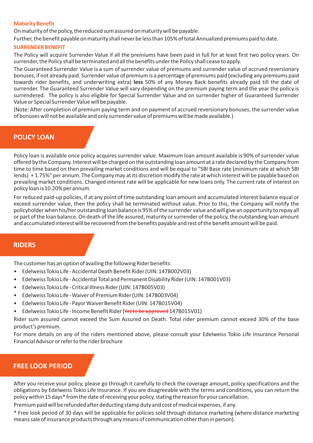#### **Maturity Benefit**

On maturity of the policy, the reduced sum assured on maturity will be payable.

Further, the benefit payable on maturity shall never be less than 105% of total Annualized premiums paid to date.

#### **SURRENDER BENEFIT**

The Policy will acquire Surrender Value if all the premiums have been paid in full for at least first two policy years. On surrender, the Policy shall be terminated and all the benefits under the Policy shall cease to apply.

The Guaranteed Surrender Value is a sum of surrender value of premiums and surrender value of accrued reversionary bonuses, if not already paid. Surrender value of premium is a percentage of premiums paid (excluding any premiums paid towards rider benefits, and underwriting extra) **less** 50% of any Money Back benefits already paid till the date of surrender. The Guaranteed Surrender Value will vary depending on the premium paying term and the year the policy is surrendered. The policy is also eligible for Special Surrender Value and on surrender higher of Guaranteed Surrender Value or Special Surrender Value will be payable.

(Note: After completion of premium paying term and on payment of accrued reversionary bonuses, the surrender value of bonuses will not be available and only surrender value of premiums will be made available.)

## **POLICY LOAN**

Policy loan is available once policy acquires surrender value. Maximum loan amount available is 90% of surrender value offered by the Company. Interest will be charged on the outstanding loan amount at a rate declared by the Company from time to time based on then prevailing market conditions and will be equal to "SBI Base rate (minimum rate at which SBI lends) + 1.75%" per annum. The Company may at its discretion modify the rate at which interest will be payable based on prevailing market conditions. Changed interest rate will be applicable for new loans only. The current rate of interest on policy loan is 10.20% per annum.

For reduced paid-up policies, if at any point of time outstanding loan amount and accumulated interest balance equal or exceed surrender value, then the policy shall be terminated without value. Prior to this, the Company will notify the policyholder when his/her outstanding loan balance is 95% of the surrender value and will give an opportunity to repay all or part of the loan balance. On death of the life assured, maturity or surrender of the policy, the outstanding loan amount and accumulated interest will be recovered from the benefits payable and rest of the benefit amount will be paid.

### **RIDERS**

The customer has an option of availing the following Rider benefits:

- Edelweiss Tokio Life Accidental Death Benefit Rider (UIN: 147B002V03)
- Edelweiss Tokio Life Accidental Total and Permanent Disability Rider (UIN: 147B001V03)
- Edelweiss Tokio Life Critical Illness Rider (UIN: 147B005V03)
- Edelweiss Tokio Life Waiver of Premium Rider (UIN: 147B003V04)
- Edelweiss Tokio Life Payor Waiver Benefit Rider (UIN: 147B015V04)
- Edelweiss Tokio Life Income Benefit Rider (<del>Yet to be approved</del> 147B015V01)

Rider sum assured cannot exceed the Sum Assured on Death. Total rider premium cannot exceed 30% of the base product's premium.

For more details on any of the riders mentioned above, please consult your Edelweiss Tokio Life Insurance Personal Financial Advisor or refer to the rider brochure

## **FREE LOOK PERIOD**

After you receive your policy, please go through it carefully to check the coverage amount, policy specifications and the obligations by Edelweiss Tokio Life Insurance. If you are disagreeable with the terms and conditions, you can return the policy within 15 days\* from the date of receiving your policy, stating the reason for your cancellation.

Premium paid will be refunded after deducting stamp duty and cost of medical expenses, if any.

\* Free look period of 30 days will be applicable for policies sold through distance marketing (where distance marketing means sale of insurance products through any means of communication other than in person).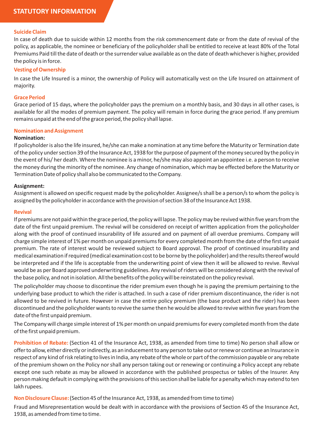#### **Suicide Claim**

In case of death due to suicide within 12 months from the risk commencement date or from the date of revival of the policy, as applicable, the nominee or beneficiary of the policyholder shall be entitled to receive at least 80% of the Total Premiums Paid till the date of death or the surrender value available as on the date of death whichever is higher, provided the policy is in force.

#### **Vesting of Ownership**

In case the Life Insured is a minor, the ownership of Policy will automatically vest on the Life Insured on attainment of majority.

#### **Grace Period**

Grace period of 15 days, where the policyholder pays the premium on a monthly basis, and 30 days in all other cases, is available for all the modes of premium payment. The policy will remain in force during the grace period. If any premium remains unpaid at the end of the grace period, the policy shall lapse.

#### **Nomination and Assignment**

#### **Nomination:**

If policyholder is also the life insured, he/she can make a nomination at any time before the Maturity or Termination date of the policy under section 39 of the Insurance Act, 1938 for the purpose of payment of the money secured by the policy in the event of his/ her death. Where the nominee is a minor, he/she may also appoint an appointee i.e. a person to receive the money during the minority of the nominee. Any change of nomination, which may be effected before the Maturity or Termination Date of policy shall also be communicated to the Company.

#### **Assignment:**

Assignment is allowed on specific request made by the policyholder. Assignee/s shall be a person/s to whom the policy is assigned by the policyholder in accordance with the provision of section 38 of the Insurance Act 1938.

#### **Revival**

If premiums are not paid within the grace period, the policy will lapse. The policy may be revived within five years from the date of the first unpaid premium. The revival will be considered on receipt of written application from the policyholder along with the proof of continued insurability of life assured and on payment of all overdue premiums. Company will charge simple interest of 1% per month on unpaid premiums for every completed month from the date of the first unpaid premium. The rate of interest would be reviewed subject to Board approval. The proof of continued insurability and medical examination if required (medical examination cost to be borne by the policyholder) and the results thereof would be interpreted and if the life is acceptable from the underwriting point of view then it will be allowed to revive. Revival would be as per Board approved underwriting guidelines. Any revival of riders will be considered along with the revival of the base policy, and not in isolation. All the benefits of the policy will be reinstated on the policy revival.

The policyholder may choose to discontinue the rider premium even though he is paying the premium pertaining to the underlying base product to which the rider is attached. In such a case of rider premium discontinuance, the rider is not allowed to be revived in future. However in case the entire policy premium (the base product and the rider) has been discontinued and the policyholder wants to revive the same then he would be allowed to revive within five years from the date of the first unpaid premium.

The Company will charge simple interest of 1% per month on unpaid premiums for every completed month from the date of the first unpaid premium.

**Prohibition of Rebate:** (Section 41 of the Insurance Act, 1938, as amended from time to time) No person shall allow or offer to allow, either directly or indirectly, as an inducement to any person to take out or renew or continue an Insurance in respect of any kind of risk relating to lives in India, any rebate of the whole or part of the commission payable or any rebate of the premium shown on the Policy nor shall any person taking out or renewing or continuing a Policy accept any rebate except one such rebate as may be allowed in accordance with the published prospectus or tables of the Insurer. Any person making default in complying with the provisions of this section shall be liable for a penalty which may extend to ten lakh rupees.

**Non Disclosure Clause:** (Section 45 of the Insurance Act, 1938, as amended from time to time)

Fraud and Misrepresentation would be dealt with in accordance with the provisions of Section 45 of the Insurance Act, 1938, as amended from time to time.